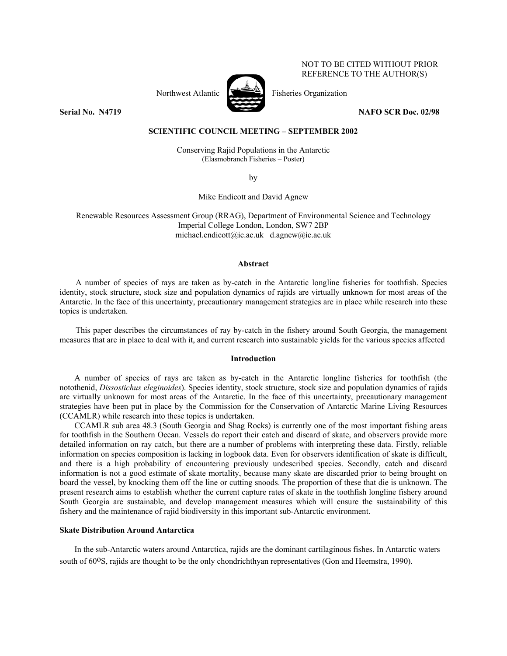# NOT TO BE CITED WITHOUT PRIOR REFERENCE TO THE AUTHOR(S)



Northwest Atlantic  $\begin{bmatrix} \sqrt{1-\frac{1}{2}} & \frac{1}{2} \\ \frac{1}{2-\frac{1}{2}} & \frac{1}{2-\frac{1}{2}} \end{bmatrix}$  Fisheries Organization

**Serial No. N4719** NAFO SCR Doc. 02/98

### **SCIENTIFIC COUNCIL MEETING – SEPTEMBER 2002**

Conserving Rajid Populations in the Antarctic (Elasmobranch Fisheries – Poster)

by

Mike Endicott and David Agnew

Renewable Resources Assessment Group (RRAG), Department of Environmental Science and Technology Imperial College London, London, SW7 2BP michael.endicott@ic.ac.uk d.agnew@ic.ac.uk

#### **Abstract**

A number of species of rays are taken as by-catch in the Antarctic longline fisheries for toothfish. Species identity, stock structure, stock size and population dynamics of rajids are virtually unknown for most areas of the Antarctic. In the face of this uncertainty, precautionary management strategies are in place while research into these topics is undertaken.

This paper describes the circumstances of ray by-catch in the fishery around South Georgia, the management measures that are in place to deal with it, and current research into sustainable yields for the various species affected

#### **Introduction**

A number of species of rays are taken as by-catch in the Antarctic longline fisheries for toothfish (the notothenid, *Dissostichus eleginoides*). Species identity, stock structure, stock size and population dynamics of rajids are virtually unknown for most areas of the Antarctic. In the face of this uncertainty, precautionary management strategies have been put in place by the Commission for the Conservation of Antarctic Marine Living Resources (CCAMLR) while research into these topics is undertaken.

CCAMLR sub area 48.3 (South Georgia and Shag Rocks) is currently one of the most important fishing areas for toothfish in the Southern Ocean. Vessels do report their catch and discard of skate, and observers provide more detailed information on ray catch, but there are a number of problems with interpreting these data. Firstly, reliable information on species composition is lacking in logbook data. Even for observers identification of skate is difficult, and there is a high probability of encountering previously undescribed species. Secondly, catch and discard information is not a good estimate of skate mortality, because many skate are discarded prior to being brought on board the vessel, by knocking them off the line or cutting snoods. The proportion of these that die is unknown. The present research aims to establish whether the current capture rates of skate in the toothfish longline fishery around South Georgia are sustainable, and develop management measures which will ensure the sustainability of this fishery and the maintenance of rajid biodiversity in this important sub-Antarctic environment.

# **Skate Distribution Around Antarctica**

In the sub-Antarctic waters around Antarctica, rajids are the dominant cartilaginous fishes. In Antarctic waters south of 60<sup>o</sup>S, rajids are thought to be the only chondrichthyan representatives (Gon and Heemstra, 1990).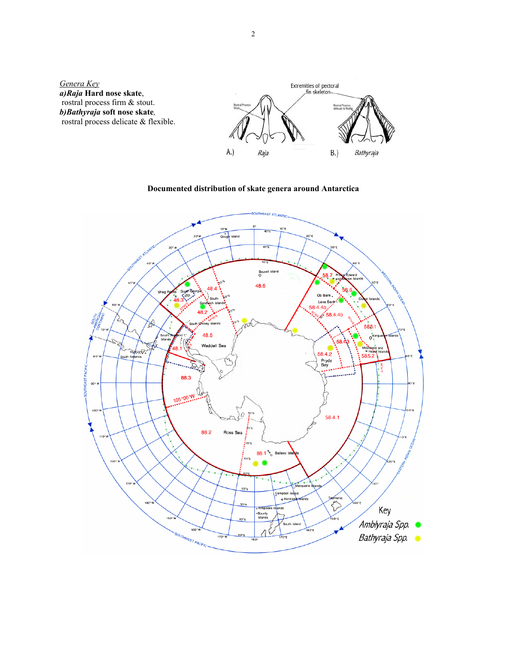

**Documented distribution of skate genera around Antarctica** 

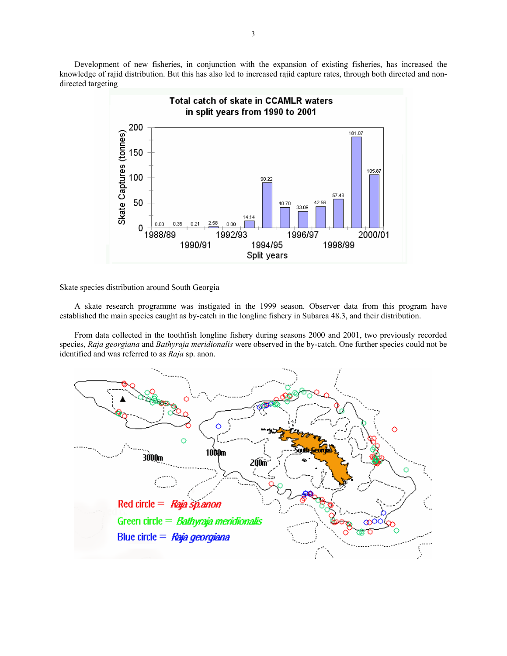Development of new fisheries, in conjunction with the expansion of existing fisheries, has increased the knowledge of rajid distribution. But this has also led to increased rajid capture rates, through both directed and nondirected targeting



Skate species distribution around South Georgia

A skate research programme was instigated in the 1999 season. Observer data from this program have established the main species caught as by-catch in the longline fishery in Subarea 48.3, and their distribution.

From data collected in the toothfish longline fishery during seasons 2000 and 2001, two previously recorded species, *Raja georgiana* and *Bathyraja meridionalis* were observed in the by-catch. One further species could not be identified and was referred to as *Raja* sp. anon.

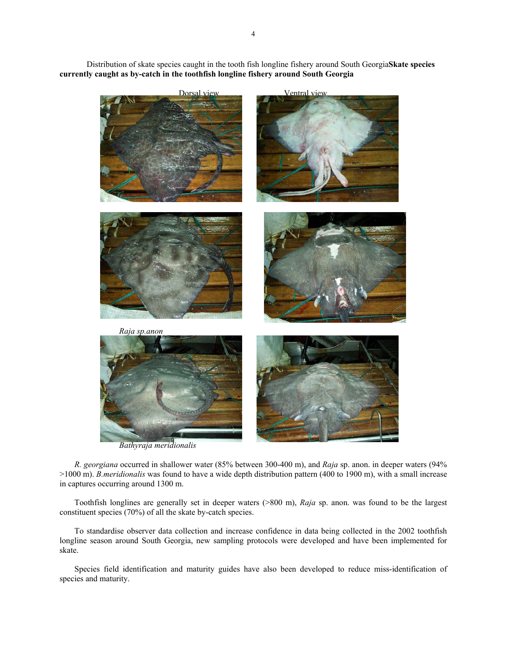*Raja georgiana Raja sp.anon*

Distribution of skate species caught in the tooth fish longline fishery around South Georgia**Skate species currently caught as by-catch in the toothfish longline fishery around South Georgia**

Dorsal view Ventral view

*Bathyraja meridionalis*

*R. georgiana* occurred in shallower water (85% between 300-400 m), and *Raja* sp. anon. in deeper waters (94% >1000 m). *B.meridionalis* was found to have a wide depth distribution pattern (400 to 1900 m), with a small increase in captures occurring around 1300 m.

Toothfish longlines are generally set in deeper waters (>800 m), *Raja* sp. anon. was found to be the largest constituent species (70%) of all the skate by-catch species.

To standardise observer data collection and increase confidence in data being collected in the 2002 toothfish longline season around South Georgia, new sampling protocols were developed and have been implemented for skate.

Species field identification and maturity guides have also been developed to reduce miss-identification of species and maturity.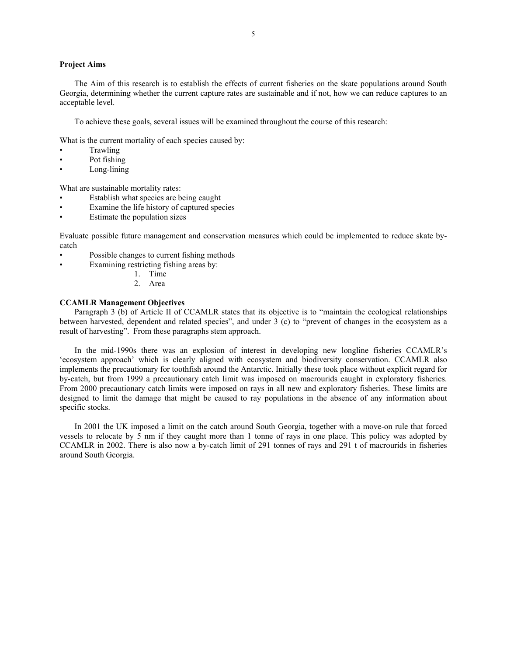## **Project Aims**

The Aim of this research is to establish the effects of current fisheries on the skate populations around South Georgia, determining whether the current capture rates are sustainable and if not, how we can reduce captures to an acceptable level.

To achieve these goals, several issues will be examined throughout the course of this research:

What is the current mortality of each species caused by:

- **Trawling**
- Pot fishing
- Long-lining

What are sustainable mortality rates:

- Establish what species are being caught
- Examine the life history of captured species
- Estimate the population sizes

Evaluate possible future management and conservation measures which could be implemented to reduce skate bycatch

- Possible changes to current fishing methods
- Examining restricting fishing areas by:
	- 1. Time
	- 2. Area

### **CCAMLR Management Objectives**

Paragraph 3 (b) of Article II of CCAMLR states that its objective is to "maintain the ecological relationships between harvested, dependent and related species", and under 3 (c) to "prevent of changes in the ecosystem as a result of harvesting". From these paragraphs stem approach.

In the mid-1990s there was an explosion of interest in developing new longline fisheries CCAMLR's 'ecosystem approach' which is clearly aligned with ecosystem and biodiversity conservation. CCAMLR also implements the precautionary for toothfish around the Antarctic. Initially these took place without explicit regard for by-catch, but from 1999 a precautionary catch limit was imposed on macrourids caught in exploratory fisheries. From 2000 precautionary catch limits were imposed on rays in all new and exploratory fisheries. These limits are designed to limit the damage that might be caused to ray populations in the absence of any information about specific stocks.

In 2001 the UK imposed a limit on the catch around South Georgia, together with a move-on rule that forced vessels to relocate by 5 nm if they caught more than 1 tonne of rays in one place. This policy was adopted by CCAMLR in 2002. There is also now a by-catch limit of 291 tonnes of rays and 291 t of macrourids in fisheries around South Georgia.